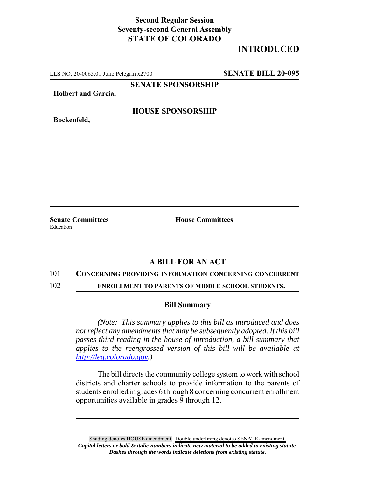## **Second Regular Session Seventy-second General Assembly STATE OF COLORADO**

# **INTRODUCED**

LLS NO. 20-0065.01 Julie Pelegrin x2700 **SENATE BILL 20-095**

**SENATE SPONSORSHIP**

**Holbert and Garcia,**

**Bockenfeld,**

### **HOUSE SPONSORSHIP**

**Senate Committees House Committees** Education

## **A BILL FOR AN ACT**

#### 101 **CONCERNING PROVIDING INFORMATION CONCERNING CONCURRENT**

102 **ENROLLMENT TO PARENTS OF MIDDLE SCHOOL STUDENTS.**

#### **Bill Summary**

*(Note: This summary applies to this bill as introduced and does not reflect any amendments that may be subsequently adopted. If this bill passes third reading in the house of introduction, a bill summary that applies to the reengrossed version of this bill will be available at http://leg.colorado.gov.)*

The bill directs the community college system to work with school districts and charter schools to provide information to the parents of students enrolled in grades 6 through 8 concerning concurrent enrollment opportunities available in grades 9 through 12.

Shading denotes HOUSE amendment. Double underlining denotes SENATE amendment. *Capital letters or bold & italic numbers indicate new material to be added to existing statute. Dashes through the words indicate deletions from existing statute.*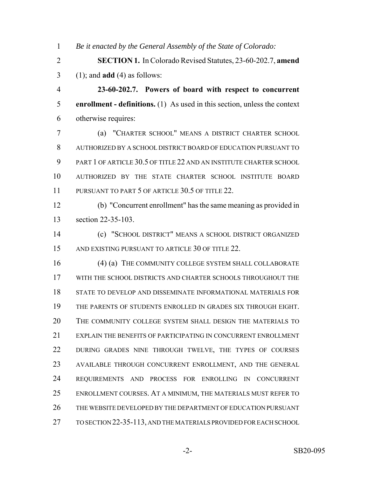*Be it enacted by the General Assembly of the State of Colorado:*

 **SECTION 1.** In Colorado Revised Statutes, 23-60-202.7, **amend** (1); and **add** (4) as follows:

 **23-60-202.7. Powers of board with respect to concurrent enrollment - definitions.** (1) As used in this section, unless the context otherwise requires:

 (a) "CHARTER SCHOOL" MEANS A DISTRICT CHARTER SCHOOL AUTHORIZED BY A SCHOOL DISTRICT BOARD OF EDUCATION PURSUANT TO PART 1 OF ARTICLE 30.5 OF TITLE 22 AND AN INSTITUTE CHARTER SCHOOL AUTHORIZED BY THE STATE CHARTER SCHOOL INSTITUTE BOARD 11 PURSUANT TO PART 5 OF ARTICLE 30.5 OF TITLE 22.

 (b) "Concurrent enrollment" has the same meaning as provided in section 22-35-103.

 (c) "SCHOOL DISTRICT" MEANS A SCHOOL DISTRICT ORGANIZED 15 AND EXISTING PURSUANT TO ARTICLE 30 OF TITLE 22.

16 (4) (a) THE COMMUNITY COLLEGE SYSTEM SHALL COLLABORATE WITH THE SCHOOL DISTRICTS AND CHARTER SCHOOLS THROUGHOUT THE STATE TO DEVELOP AND DISSEMINATE INFORMATIONAL MATERIALS FOR THE PARENTS OF STUDENTS ENROLLED IN GRADES SIX THROUGH EIGHT. THE COMMUNITY COLLEGE SYSTEM SHALL DESIGN THE MATERIALS TO EXPLAIN THE BENEFITS OF PARTICIPATING IN CONCURRENT ENROLLMENT DURING GRADES NINE THROUGH TWELVE, THE TYPES OF COURSES AVAILABLE THROUGH CONCURRENT ENROLLMENT, AND THE GENERAL REQUIREMENTS AND PROCESS FOR ENROLLING IN CONCURRENT ENROLLMENT COURSES. AT A MINIMUM, THE MATERIALS MUST REFER TO THE WEBSITE DEVELOPED BY THE DEPARTMENT OF EDUCATION PURSUANT TO SECTION 22-35-113, AND THE MATERIALS PROVIDED FOR EACH SCHOOL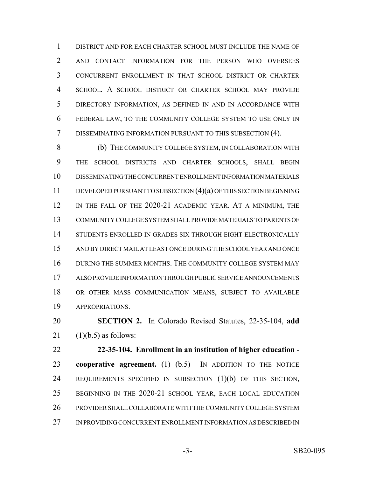DISTRICT AND FOR EACH CHARTER SCHOOL MUST INCLUDE THE NAME OF AND CONTACT INFORMATION FOR THE PERSON WHO OVERSEES CONCURRENT ENROLLMENT IN THAT SCHOOL DISTRICT OR CHARTER SCHOOL. A SCHOOL DISTRICT OR CHARTER SCHOOL MAY PROVIDE DIRECTORY INFORMATION, AS DEFINED IN AND IN ACCORDANCE WITH FEDERAL LAW, TO THE COMMUNITY COLLEGE SYSTEM TO USE ONLY IN DISSEMINATING INFORMATION PURSUANT TO THIS SUBSECTION (4).

 (b) THE COMMUNITY COLLEGE SYSTEM, IN COLLABORATION WITH THE SCHOOL DISTRICTS AND CHARTER SCHOOLS, SHALL BEGIN DISSEMINATING THE CONCURRENT ENROLLMENT INFORMATION MATERIALS DEVELOPED PURSUANT TO SUBSECTION (4)(a) OF THIS SECTION BEGINNING IN THE FALL OF THE 2020-21 ACADEMIC YEAR. AT A MINIMUM, THE COMMUNITY COLLEGE SYSTEM SHALL PROVIDE MATERIALS TO PARENTS OF STUDENTS ENROLLED IN GRADES SIX THROUGH EIGHT ELECTRONICALLY AND BY DIRECT MAIL AT LEAST ONCE DURING THE SCHOOL YEAR AND ONCE DURING THE SUMMER MONTHS. THE COMMUNITY COLLEGE SYSTEM MAY ALSO PROVIDE INFORMATION THROUGH PUBLIC SERVICE ANNOUNCEMENTS OR OTHER MASS COMMUNICATION MEANS, SUBJECT TO AVAILABLE APPROPRIATIONS.

 **SECTION 2.** In Colorado Revised Statutes, 22-35-104, **add** 21  $(1)(b.5)$  as follows:

 **22-35-104. Enrollment in an institution of higher education - cooperative agreement.** (1) (b.5) IN ADDITION TO THE NOTICE REQUIREMENTS SPECIFIED IN SUBSECTION (1)(b) OF THIS SECTION, BEGINNING IN THE 2020-21 SCHOOL YEAR, EACH LOCAL EDUCATION PROVIDER SHALL COLLABORATE WITH THE COMMUNITY COLLEGE SYSTEM IN PROVIDING CONCURRENT ENROLLMENT INFORMATION AS DESCRIBED IN